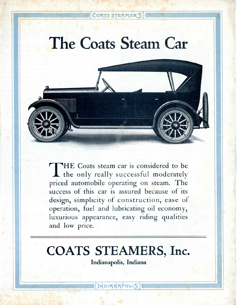### CORTS STEAMERS

# **The Coats Steam Car**



T HE Coats steam car is considered to be the only really successful moderately priced automobile operating on steam. The success of this car is assured because of its design, simplicity of construction, ease of operation, fuel and lubricating oil economy, luxurious appearance, easy riding qualities and low price.

## **COATS STEAMERS, Inc.**

**Indianapolis, Indiana**

[NDIANAPOLIS]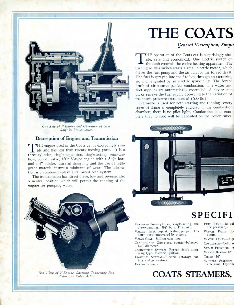

*One Side of V Engine and Operation of Gear Shift in Transmission*

#### **Description of Engine and Transmission**

THE engine used in the Coats car is exceedingly simple and has less than twenty moving parts. It is a three-cylinder, single-expansion, single-acting, semi-uni-HE engine used in the Coats car is exceedingly simple and has less than twenty moving parts. It is a flow, poppet valve, 120° V-type engine with a  $3\frac{1}{8}$ " bore and a 4" stroke. Careful designing and the use of highgrade material insure a minimum of wear. The lubrication is a combined splash and forced feed system.

The transmission has direct drive, low and reverse, also a neutral position which will permit the running of the engine for pumping water.



*End View of V Engine, Showing Connecting Rod,*

## **THE COATS**

#### *general '•Description, Simpli*

THE operation of the Coats car is surprisingly simple, safe and economical. One electric switch on the dash controls the entire heating apparatus. The turning of this switch starts a small electric motor, which HE operation of the Coats car is surprisingly simple, safe and economical. One electric switch on the dash controls the entire heating apparatus. The" drives the fuel pump and the air fan for the forced draft. The fuel is sprayed into the fire box through an atomizing jet and is ignited by an electric spark plug. The forced draft of air insures perfect combustion. The water and fuel supplies are automatically controlled. A device cuts off or renews the fuel supply according to the variation of the steam pressure from normal (600 Ibs).

Kerosene is used for both starting and running; every trace of flame is completely enclosed in the combustion chamber; there is no pilot light. Combustion is so complete that no soot will be deposited on the boiler tubes.



### **SPECIFI**

pump.

FUEL TANK—18 gal der pressure). WATER PUMP-Ec

WATER TANK-25 ga CONDENSOR—Cellular STEAM PRESSURE—6( WHEEL BASE—112". TREAD—56".

ENGINE—Three-cylinder, single-acting, single-expanding. *Zy%"* bore, 4" stroke.

VALVES—Inlet, poppet. Relief, poppet. Exhaust ports uncovered by pistons. VALVE GEAR—Sliding cam type.

CRANKSHAFT—One-piece, counter-balanced. 13/4" diameter.

COMBUSTION SYSTEM—Forced draft atomizing type. Electric ignition.

LIGHTING SYSTEM—Electric (storage battery and generator). FUEL—Kerosene.

WHEELS—Standardable rims. Options

### *Piston and Valve Action* **COATS STEAMERS,**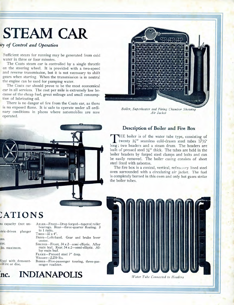# **STEAM CAR**

#### *ity of Control and Operation*

 $\blacksquare$ 

Sufficient steam for running may be generated from cold water in three or four minutes.

The Coats steam car is controlled by a single throttle on the steering wheel. It is provided with a two-speed and reverse transmission, but it is not necessary to shift gears when starting. When the transmission is in neutral the engine can be used for pumping water.

The Coats car should prove to be the most economical car in all services. The cost per mile is extremely low because of the cheap fuel, great mileage and small consumption of lubricating oil.

There is no danger of fire from the Coats car, as there is no exposed flame. It is' safe to operate under all ordinary conditions in places where automobiles are now operated.



## :ATIONS

| is capacity (not un-   | AxLES-Front-Drop forged-tapered roller<br>bearings. Rear-three-quarter floating. 3                         |
|------------------------|------------------------------------------------------------------------------------------------------------|
| tric-driven<br>plunger | to 1 ratio.<br>$T$ <sub>IRES</sub> $-32 \times 4$ ".                                                       |
| ms.                    | DRIVE-Left-hand. Gear and brake lever<br>center.                                                           |
| rpe.<br>lbs. maximum.  | SPRINGS-Front, 34 x 2-semi-elliptic. Alloy<br>main leaf. Rear, 54 x 2-semi-elliptic. Al-<br>lov main leaf. |

Vood with demount- -Wire or disc.

FRAME—Pressed steel 7" deep. WEIGHT—2,250 Ibs. BODIES—Five-passenger touring, three-passenger roadster.



*Boiler, Superheater and Firing Chamber Showing Air Jacket*

#### **Description of Boiler and Fire Box**

THE boiler is of the water tube type, consisting of<br>twenty  $\frac{3}{4}$ " seamless cold-drawn steel tubes  $\frac{171}{2}$ "<br>ong: two headers and a steam drum. The headers are HE boiler is of the water tube type, consisting of twenty  $\frac{3}{4}$ <sup>*f*</sup> seamless cold-drawn steel tubes  $17\frac{1}{2}$ <sup>*f*</sup> built of pressed steel J4" thick. The tubes are held in the boiler headers by forged steel clamps and bolts and can be easily removed. The boiler casing consists of sheet steel lined with asbestos.

The fire box is a conical, vertical, refractory lined steel oven surrounded with a circulating air jacket. The fuel is completely burned in this oven and only hot gases strike the boiler tubes.